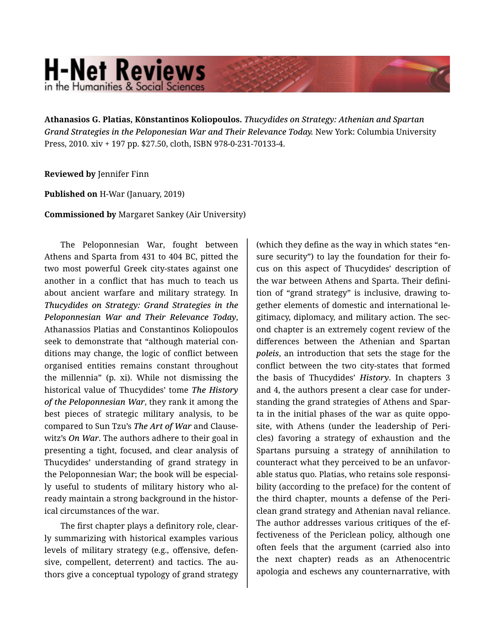## **H-Net Reviews** in the Humanities & Social Scienc

**Athanasios G. Platias, Kōnstantinos Koliopoulos.** *Thucydides on Strategy: Athenian and Spartan Grand Strategies in the Peloponesian War and Their Relevance Today.* New York: Columbia University Press, 2010. xiv + 197 pp. \$27.50, cloth, ISBN 978-0-231-70133-4.

## **Reviewed by** Jennifer Finn

**Published on** H-War (January, 2019)

**Commissioned by** Margaret Sankey (Air University)

The Peloponnesian War, fought between Athens and Sparta from 431 to 404 BC, pitted the two most powerful Greek city-states against one another in a conflict that has much to teach us about ancient warfare and military strategy. In *Thucydides on Strategy: Grand Strategies in the Peloponnesian War and Their Relevance Today*, Athanassios Platias and Constantinos Koliopoulos seek to demonstrate that "although material conditions may change, the logic of conflict between organised entities remains constant throughout the millennia" (p. xi). While not dismissing the historical value of Thucydides' tome *The History of the Peloponnesian War*, they rank it among the best pieces of strategic military analysis, to be compared to Sun Tzu's *The Art of War* and Clause‐ witz's *On War*. The authors adhere to their goal in presenting a tight, focused, and clear analysis of Thucydides' understanding of grand strategy in the Peloponnesian War; the book will be especial‐ ly useful to students of military history who al‐ ready maintain a strong background in the histor‐ ical circumstances of the war.

The first chapter plays a definitory role, clear‐ ly summarizing with historical examples various levels of military strategy (e.g., offensive, defensive, compellent, deterrent) and tactics. The au‐ thors give a conceptual typology of grand strategy (which they define as the way in which states "en‐ sure security") to lay the foundation for their fo‐ cus on this aspect of Thucydides' description of the war between Athens and Sparta. Their defini‐ tion of "grand strategy" is inclusive, drawing to‐ gether elements of domestic and international le‐ gitimacy, diplomacy, and military action. The sec‐ ond chapter is an extremely cogent review of the differences between the Athenian and Spartan *poleis*, an introduction that sets the stage for the conflict between the two city-states that formed the basis of Thucydides' *History*. In chapters 3 and 4, the authors present a clear case for under‐ standing the grand strategies of Athens and Spar‐ ta in the initial phases of the war as quite oppo‐ site, with Athens (under the leadership of Peri‐ cles) favoring a strategy of exhaustion and the Spartans pursuing a strategy of annihilation to counteract what they perceived to be an unfavor‐ able status quo. Platias, who retains sole responsi‐ bility (according to the preface) for the content of the third chapter, mounts a defense of the Peri‐ clean grand strategy and Athenian naval reliance. The author addresses various critiques of the ef‐ fectiveness of the Periclean policy, although one often feels that the argument (carried also into the next chapter) reads as an Athenocentric apologia and eschews any counternarrative, with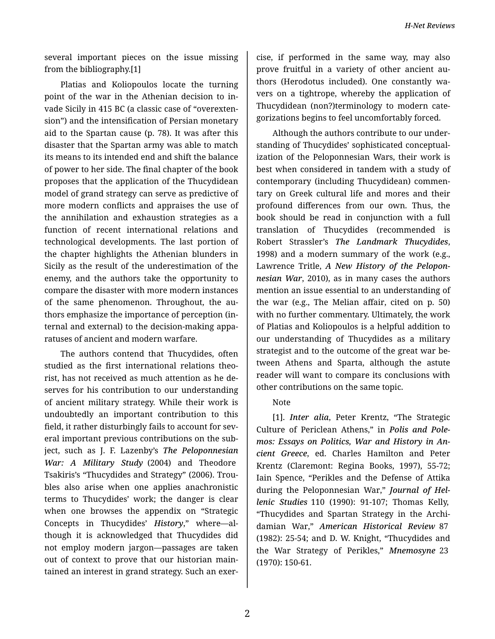*H-Net Reviews*

several important pieces on the issue missing from the bibliography.[1]

Platias and Koliopoulos locate the turning point of the war in the Athenian decision to in‐ vade Sicily in 415 BC (a classic case of "overexten‐ sion") and the intensification of Persian monetary aid to the Spartan cause (p. 78). It was after this disaster that the Spartan army was able to match its means to its intended end and shift the balance of power to her side. The final chapter of the book proposes that the application of the Thucydidean model of grand strategy can serve as predictive of more modern conflicts and appraises the use of the annihilation and exhaustion strategies as a function of recent international relations and technological developments. The last portion of the chapter highlights the Athenian blunders in Sicily as the result of the underestimation of the enemy, and the authors take the opportunity to compare the disaster with more modern instances of the same phenomenon. Throughout, the au‐ thors emphasize the importance of perception (in‐ ternal and external) to the decision-making appa‐ ratuses of ancient and modern warfare.

The authors contend that Thucydides, often studied as the first international relations theo‐ rist, has not received as much attention as he de‐ serves for his contribution to our understanding of ancient military strategy. While their work is undoubtedly an important contribution to this field, it rather disturbingly fails to account for several important previous contributions on the sub‐ ject, such as J. F. Lazenby's *The Peloponnesian War: A Military Study* (2004) and Theodore Tsakiris's "Thucydides and Strategy" (2006). Trou‐ bles also arise when one applies anachronistic terms to Thucydides' work; the danger is clear when one browses the appendix on "Strategic Concepts in Thucydides' *History*," where—al‐ though it is acknowledged that Thucydides did not employ modern jargon—passages are taken out of context to prove that our historian main‐ tained an interest in grand strategy. Such an exer‐

cise, if performed in the same way, may also prove fruitful in a variety of other ancient au‐ thors (Herodotus included). One constantly wa‐ vers on a tightrope, whereby the application of Thucydidean (non?)terminology to modern cate‐ gorizations begins to feel uncomfortably forced.

Although the authors contribute to our under‐ standing of Thucydides' sophisticated conceptual‐ ization of the Peloponnesian Wars, their work is best when considered in tandem with a study of contemporary (including Thucydidean) commen‐ tary on Greek cultural life and mores and their profound differences from our own. Thus, the book should be read in conjunction with a full translation of Thucydides (recommended is Robert Strassler's *The Landmark Thucydides*, 1998) and a modern summary of the work (e.g., Lawrence Tritle, *A New History of the Pelopon‐ nesian War*, 2010), as in many cases the authors mention an issue essential to an understanding of the war (e.g., The Melian affair, cited on p. 50) with no further commentary. Ultimately, the work of Platias and Koliopoulos is a helpful addition to our understanding of Thucydides as a military strategist and to the outcome of the great war be‐ tween Athens and Sparta, although the astute reader will want to compare its conclusions with other contributions on the same topic.

## Note

[1]. *Inter alia*, Peter Krentz, "The Strategic Culture of Periclean Athens," in *Polis and Pole‐ mos: Essays on Politics, War and History in An‐ cient Greece*, ed. Charles Hamilton and Peter Krentz (Claremont: Regina Books, 1997), 55-72; Iain Spence, "Perikles and the Defense of Attika during the Peloponnesian War," *Journal of Hel‐ lenic Studies* 110 (1990): 91-107; Thomas Kelly, "Thucydides and Spartan Strategy in the Archi‐ damian War," *American Historical Review* 87 (1982): 25-54; and D. W. Knight, "Thucydides and the War Strategy of Perikles," *Mnemosyne* 23 (1970): 150-61.